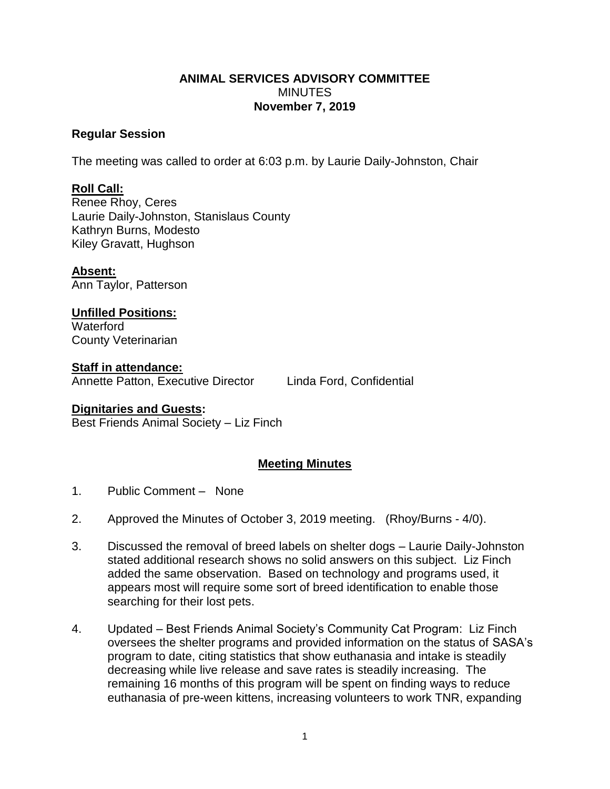## **ANIMAL SERVICES ADVISORY COMMITTEE MINUTES November 7, 2019**

## **Regular Session**

The meeting was called to order at 6:03 p.m. by Laurie Daily-Johnston, Chair

## **Roll Call:**

Renee Rhoy, Ceres Laurie Daily-Johnston, Stanislaus County Kathryn Burns, Modesto Kiley Gravatt, Hughson

**Absent:** Ann Taylor, Patterson

**Unfilled Positions: Waterford** County Veterinarian

**Staff in attendance:** Annette Patton, Executive Director Linda Ford, Confidential

## **Dignitaries and Guests:**

Best Friends Animal Society – Liz Finch

# **Meeting Minutes**

- 1. Public Comment None
- 2. Approved the Minutes of October 3, 2019 meeting. (Rhoy/Burns 4/0).
- 3. Discussed the removal of breed labels on shelter dogs Laurie Daily-Johnston stated additional research shows no solid answers on this subject. Liz Finch added the same observation. Based on technology and programs used, it appears most will require some sort of breed identification to enable those searching for their lost pets.
- 4. Updated Best Friends Animal Society's Community Cat Program: Liz Finch oversees the shelter programs and provided information on the status of SASA's program to date, citing statistics that show euthanasia and intake is steadily decreasing while live release and save rates is steadily increasing. The remaining 16 months of this program will be spent on finding ways to reduce euthanasia of pre-ween kittens, increasing volunteers to work TNR, expanding